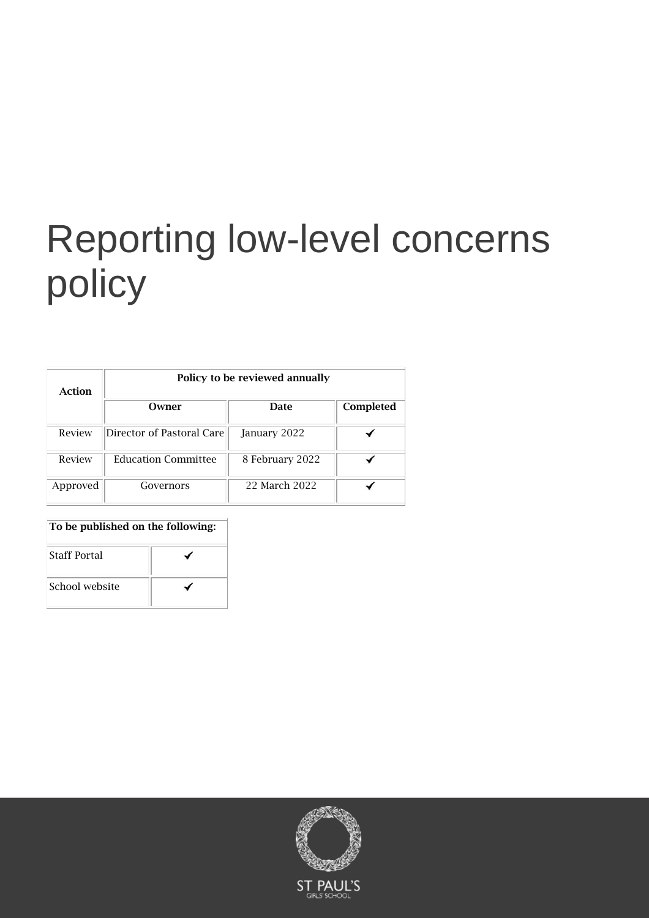# Reporting low-level concerns policy

| Action   | Policy to be reviewed annually |                 |           |  |
|----------|--------------------------------|-----------------|-----------|--|
|          | Owner                          | <b>Date</b>     | Completed |  |
| Review   | Director of Pastoral Care      | January 2022    |           |  |
| Review   | <b>Education Committee</b>     | 8 February 2022 |           |  |
| Approved | Governors                      | 22 March 2022   |           |  |

### To be published on the following:

| <b>Staff Portal</b> |  |  |
|---------------------|--|--|
| School website      |  |  |

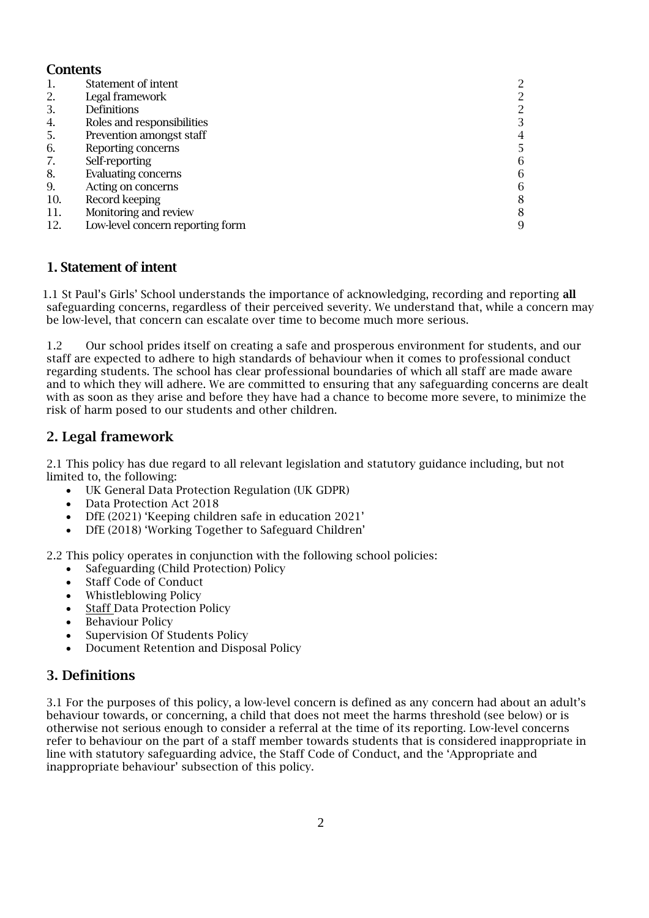## **Contents**

| 1.  | Statement of intent              |   |
|-----|----------------------------------|---|
| 2.  | Legal framework                  |   |
| 3.  | Definitions                      | 2 |
| 4.  | Roles and responsibilities       |   |
| 5.  | Prevention amongst staff         | 4 |
| 6.  | Reporting concerns               |   |
| 7.  | Self-reporting                   | 6 |
| 8.  | Evaluating concerns              | 6 |
| 9.  | Acting on concerns               | 6 |
| 10. | Record keeping                   | 8 |
| 11. | Monitoring and review            | 8 |
| 12. | Low-level concern reporting form | 9 |

## 1. Statement of intent

1.1 St Paul's Girls' School understands the importance of acknowledging, recording and reporting all safeguarding concerns, regardless of their perceived severity. We understand that, while a concern may be low-level, that concern can escalate over time to become much more serious.

1.2 Our school prides itself on creating a safe and prosperous environment for students, and our staff are expected to adhere to high standards of behaviour when it comes to professional conduct regarding students. The school has clear professional boundaries of which all staff are made aware and to which they will adhere. We are committed to ensuring that any safeguarding concerns are dealt with as soon as they arise and before they have had a chance to become more severe, to minimize the risk of harm posed to our students and other children.

# 2. Legal framework

2.1 This policy has due regard to all relevant legislation and statutory guidance including, but not limited to, the following:

- UK General Data Protection Regulation (UK GDPR)
- Data Protection Act 2018
- DfE (2021) 'Keeping children safe in education 2021'
- DfE (2018) 'Working Together to Safeguard Children'

2.2 This policy operates in conjunction with the following school policies:

- Safeguarding (Child Protection) Policy
- Staff Code of Conduct
- Whistleblowing Policy
- **Staff Data Protection Policy**
- Behaviour Policy
- Supervision Of Students Policy
- Document Retention and Disposal Policy

## 3. Definitions

3.1 For the purposes of this policy, a low-level concern is defined as any concern had about an adult's behaviour towards, or concerning, a child that does not meet the harms threshold (see below) or is otherwise not serious enough to consider a referral at the time of its reporting. Low-level concerns refer to behaviour on the part of a staff member towards students that is considered inappropriate in line with statutory safeguarding advice, the Staff Code of Conduct, and the 'Appropriate and inappropriate behaviour' subsection of this policy.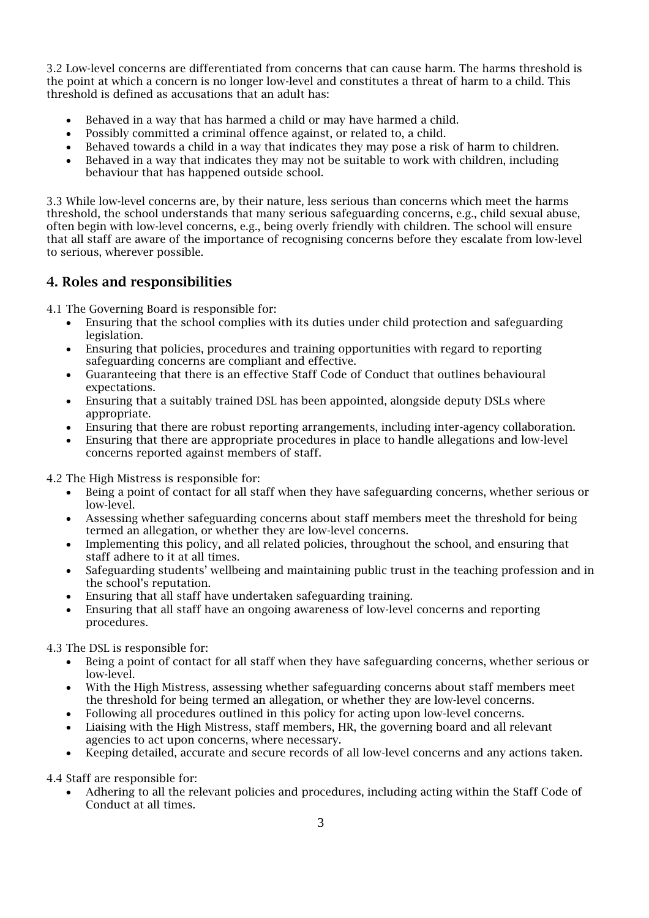3.2 Low-level concerns are differentiated from concerns that can cause harm. The harms threshold is the point at which a concern is no longer low-level and constitutes a threat of harm to a child. This threshold is defined as accusations that an adult has:

- Behaved in a way that has harmed a child or may have harmed a child.
- Possibly committed a criminal offence against, or related to, a child.
- Behaved towards a child in a way that indicates they may pose a risk of harm to children.
- Behaved in a way that indicates they may not be suitable to work with children, including behaviour that has happened outside school.

3.3 While low-level concerns are, by their nature, less serious than concerns which meet the harms threshold, the school understands that many serious safeguarding concerns, e.g., child sexual abuse, often begin with low-level concerns, e.g., being overly friendly with children. The school will ensure that all staff are aware of the importance of recognising concerns before they escalate from low-level to serious, wherever possible.

# 4. Roles and responsibilities

4.1 The Governing Board is responsible for:

- Ensuring that the school complies with its duties under child protection and safeguarding legislation.
- Ensuring that policies, procedures and training opportunities with regard to reporting safeguarding concerns are compliant and effective.
- Guaranteeing that there is an effective Staff Code of Conduct that outlines behavioural expectations.
- Ensuring that a suitably trained DSL has been appointed, alongside deputy DSLs where appropriate.
- Ensuring that there are robust reporting arrangements, including inter-agency collaboration.
- Ensuring that there are appropriate procedures in place to handle allegations and low-level concerns reported against members of staff.

4.2 The High Mistress is responsible for:

- Being a point of contact for all staff when they have safeguarding concerns, whether serious or low-level.
- Assessing whether safeguarding concerns about staff members meet the threshold for being termed an allegation, or whether they are low-level concerns.
- Implementing this policy, and all related policies, throughout the school, and ensuring that staff adhere to it at all times.
- Safeguarding students' wellbeing and maintaining public trust in the teaching profession and in the school's reputation.
- Ensuring that all staff have undertaken safeguarding training.
- Ensuring that all staff have an ongoing awareness of low-level concerns and reporting procedures.

4.3 The DSL is responsible for:

- Being a point of contact for all staff when they have safeguarding concerns, whether serious or low-level.
- With the High Mistress, assessing whether safeguarding concerns about staff members meet the threshold for being termed an allegation, or whether they are low-level concerns.
- Following all procedures outlined in this policy for acting upon low-level concerns.
- Liaising with the High Mistress, staff members, HR, the governing board and all relevant agencies to act upon concerns, where necessary.
- Keeping detailed, accurate and secure records of all low-level concerns and any actions taken.

4.4 Staff are responsible for:

• Adhering to all the relevant policies and procedures, including acting within the Staff Code of Conduct at all times.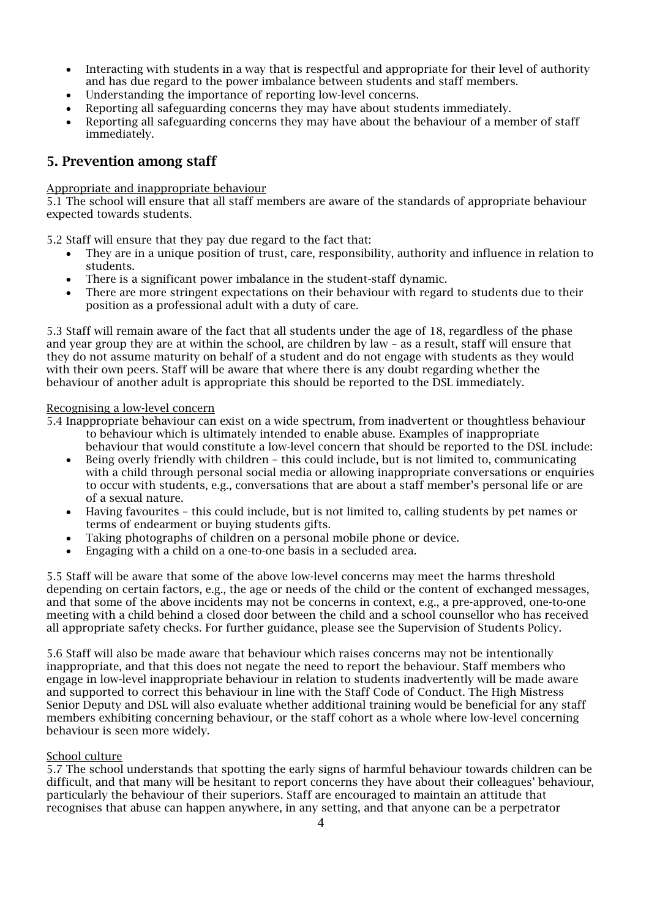- Interacting with students in a way that is respectful and appropriate for their level of authority and has due regard to the power imbalance between students and staff members.
- Understanding the importance of reporting low-level concerns.
- Reporting all safeguarding concerns they may have about students immediately.
- Reporting all safeguarding concerns they may have about the behaviour of a member of staff immediately.

## 5. Prevention among staff

#### Appropriate and inappropriate behaviour

5.1 The school will ensure that all staff members are aware of the standards of appropriate behaviour expected towards students.

5.2 Staff will ensure that they pay due regard to the fact that:

- They are in a unique position of trust, care, responsibility, authority and influence in relation to students.
- There is a significant power imbalance in the student-staff dynamic.
- There are more stringent expectations on their behaviour with regard to students due to their position as a professional adult with a duty of care.

5.3 Staff will remain aware of the fact that all students under the age of 18, regardless of the phase and year group they are at within the school, are children by law – as a result, staff will ensure that they do not assume maturity on behalf of a student and do not engage with students as they would with their own peers. Staff will be aware that where there is any doubt regarding whether the behaviour of another adult is appropriate this should be reported to the DSL immediately.

#### Recognising a low-level concern

5.4 Inappropriate behaviour can exist on a wide spectrum, from inadvertent or thoughtless behaviour to behaviour which is ultimately intended to enable abuse. Examples of inappropriate

- behaviour that would constitute a low-level concern that should be reported to the DSL include: • Being overly friendly with children – this could include, but is not limited to, communicating
- with a child through personal social media or allowing inappropriate conversations or enquiries to occur with students, e.g., conversations that are about a staff member's personal life or are of a sexual nature.
- Having favourites this could include, but is not limited to, calling students by pet names or terms of endearment or buying students gifts.
- Taking photographs of children on a personal mobile phone or device.
- Engaging with a child on a one-to-one basis in a secluded area.

5.5 Staff will be aware that some of the above low-level concerns may meet the harms threshold depending on certain factors, e.g., the age or needs of the child or the content of exchanged messages, and that some of the above incidents may not be concerns in context, e.g., a pre-approved, one-to-one meeting with a child behind a closed door between the child and a school counsellor who has received all appropriate safety checks. For further guidance, please see the Supervision of Students Policy.

5.6 Staff will also be made aware that behaviour which raises concerns may not be intentionally inappropriate, and that this does not negate the need to report the behaviour. Staff members who engage in low-level inappropriate behaviour in relation to students inadvertently will be made aware and supported to correct this behaviour in line with the Staff Code of Conduct. The High Mistress Senior Deputy and DSL will also evaluate whether additional training would be beneficial for any staff members exhibiting concerning behaviour, or the staff cohort as a whole where low-level concerning behaviour is seen more widely.

### School culture

5.7 The school understands that spotting the early signs of harmful behaviour towards children can be difficult, and that many will be hesitant to report concerns they have about their colleagues' behaviour, particularly the behaviour of their superiors. Staff are encouraged to maintain an attitude that recognises that abuse can happen anywhere, in any setting, and that anyone can be a perpetrator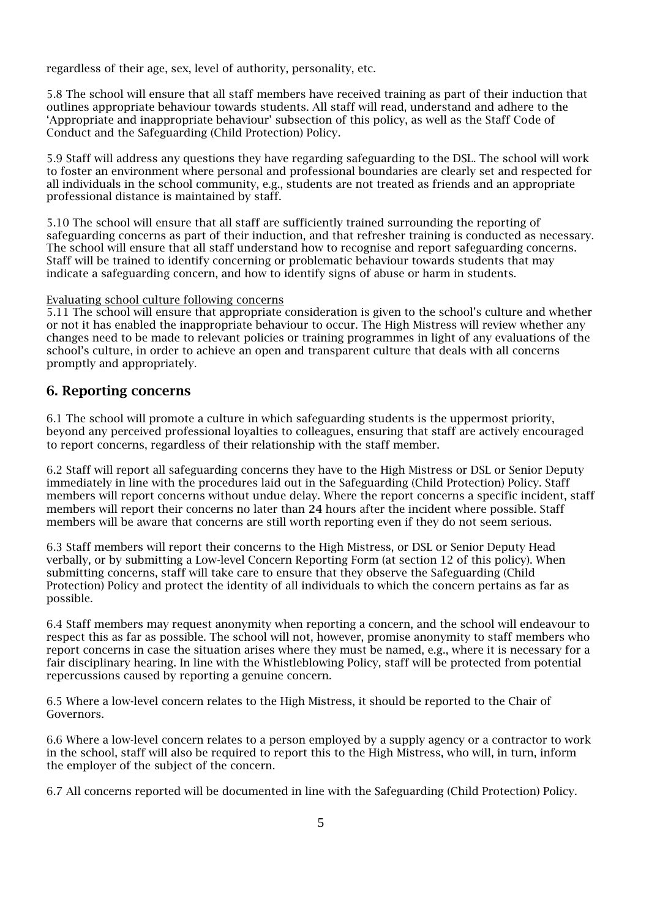regardless of their age, sex, level of authority, personality, etc.

5.8 The school will ensure that all staff members have received training as part of their induction that outlines appropriate behaviour towards students. All staff will read, understand and adhere to the 'Appropriate and inappropriate behaviour' subsection of this policy, as well as the Staff Code of Conduct and the Safeguarding (Child Protection) Policy.

5.9 Staff will address any questions they have regarding safeguarding to the DSL. The school will work to foster an environment where personal and professional boundaries are clearly set and respected for all individuals in the school community, e.g., students are not treated as friends and an appropriate professional distance is maintained by staff.

5.10 The school will ensure that all staff are sufficiently trained surrounding the reporting of safeguarding concerns as part of their induction, and that refresher training is conducted as necessary. The school will ensure that all staff understand how to recognise and report safeguarding concerns. Staff will be trained to identify concerning or problematic behaviour towards students that may indicate a safeguarding concern, and how to identify signs of abuse or harm in students.

#### Evaluating school culture following concerns

5.11 The school will ensure that appropriate consideration is given to the school's culture and whether or not it has enabled the inappropriate behaviour to occur. The High Mistress will review whether any changes need to be made to relevant policies or training programmes in light of any evaluations of the school's culture, in order to achieve an open and transparent culture that deals with all concerns promptly and appropriately.

## 6. Reporting concerns

6.1 The school will promote a culture in which safeguarding students is the uppermost priority, beyond any perceived professional loyalties to colleagues, ensuring that staff are actively encouraged to report concerns, regardless of their relationship with the staff member.

6.2 Staff will report all safeguarding concerns they have to the High Mistress or DSL or Senior Deputy immediately in line with the procedures laid out in the Safeguarding (Child Protection) Policy. Staff members will report concerns without undue delay. Where the report concerns a specific incident, staff members will report their concerns no later than 24 hours after the incident where possible. Staff members will be aware that concerns are still worth reporting even if they do not seem serious.

6.3 Staff members will report their concerns to the High Mistress, or DSL or Senior Deputy Head verbally, or by submitting a Low-level Concern Reporting Form (at section 12 of this policy). When submitting concerns, staff will take care to ensure that they observe the Safeguarding (Child Protection) Policy and protect the identity of all individuals to which the concern pertains as far as possible.

6.4 Staff members may request anonymity when reporting a concern, and the school will endeavour to respect this as far as possible. The school will not, however, promise anonymity to staff members who report concerns in case the situation arises where they must be named, e.g., where it is necessary for a fair disciplinary hearing. In line with the Whistleblowing Policy, staff will be protected from potential repercussions caused by reporting a genuine concern.

6.5 Where a low-level concern relates to the High Mistress, it should be reported to the Chair of Governors.

6.6 Where a low-level concern relates to a person employed by a supply agency or a contractor to work in the school, staff will also be required to report this to the High Mistress, who will, in turn, inform the employer of the subject of the concern.

6.7 All concerns reported will be documented in line with the Safeguarding (Child Protection) Policy.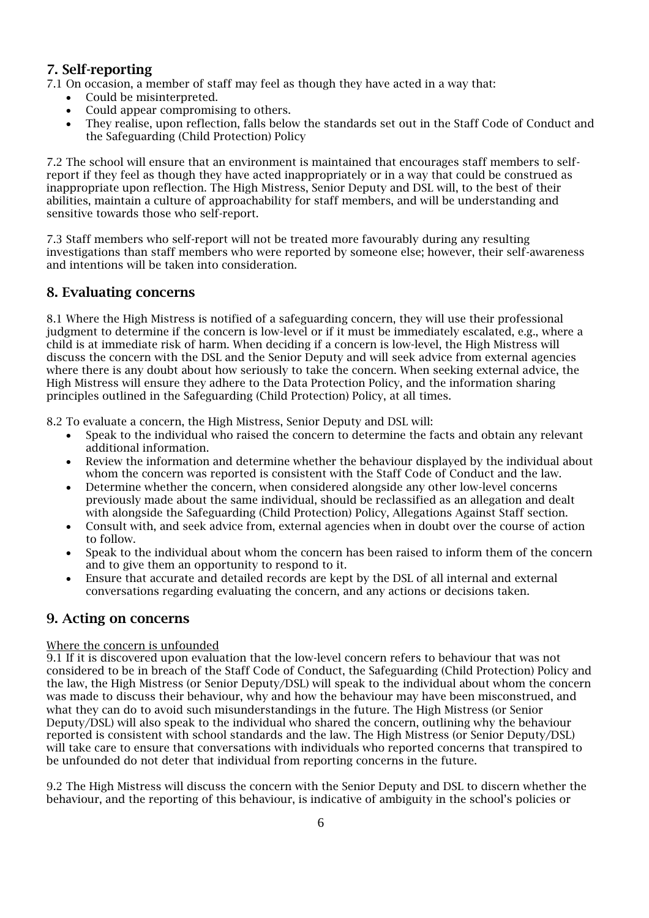# 7. Self-reporting

7.1 On occasion, a member of staff may feel as though they have acted in a way that:

- Could be misinterpreted.
- Could appear compromising to others.
- They realise, upon reflection, falls below the standards set out in the Staff Code of Conduct and the Safeguarding (Child Protection) Policy

7.2 The school will ensure that an environment is maintained that encourages staff members to selfreport if they feel as though they have acted inappropriately or in a way that could be construed as inappropriate upon reflection. The High Mistress, Senior Deputy and DSL will, to the best of their abilities, maintain a culture of approachability for staff members, and will be understanding and sensitive towards those who self-report.

7.3 Staff members who self-report will not be treated more favourably during any resulting investigations than staff members who were reported by someone else; however, their self-awareness and intentions will be taken into consideration.

## 8. Evaluating concerns

8.1 Where the High Mistress is notified of a safeguarding concern, they will use their professional judgment to determine if the concern is low-level or if it must be immediately escalated, e.g., where a child is at immediate risk of harm. When deciding if a concern is low-level, the High Mistress will discuss the concern with the DSL and the Senior Deputy and will seek advice from external agencies where there is any doubt about how seriously to take the concern. When seeking external advice, the High Mistress will ensure they adhere to the Data Protection Policy, and the information sharing principles outlined in the Safeguarding (Child Protection) Policy, at all times.

8.2 To evaluate a concern, the High Mistress, Senior Deputy and DSL will:

- Speak to the individual who raised the concern to determine the facts and obtain any relevant additional information.
- Review the information and determine whether the behaviour displayed by the individual about whom the concern was reported is consistent with the Staff Code of Conduct and the law.
- Determine whether the concern, when considered alongside any other low-level concerns previously made about the same individual, should be reclassified as an allegation and dealt with alongside the Safeguarding (Child Protection) Policy, Allegations Against Staff section.
- Consult with, and seek advice from, external agencies when in doubt over the course of action to follow.
- Speak to the individual about whom the concern has been raised to inform them of the concern and to give them an opportunity to respond to it.
- Ensure that accurate and detailed records are kept by the DSL of all internal and external conversations regarding evaluating the concern, and any actions or decisions taken.

## 9. Acting on concerns

### Where the concern is unfounded

9.1 If it is discovered upon evaluation that the low-level concern refers to behaviour that was not considered to be in breach of the Staff Code of Conduct, the Safeguarding (Child Protection) Policy and the law, the High Mistress (or Senior Deputy/DSL) will speak to the individual about whom the concern was made to discuss their behaviour, why and how the behaviour may have been misconstrued, and what they can do to avoid such misunderstandings in the future. The High Mistress (or Senior Deputy/DSL) will also speak to the individual who shared the concern, outlining why the behaviour reported is consistent with school standards and the law. The High Mistress (or Senior Deputy/DSL) will take care to ensure that conversations with individuals who reported concerns that transpired to be unfounded do not deter that individual from reporting concerns in the future.

9.2 The High Mistress will discuss the concern with the Senior Deputy and DSL to discern whether the behaviour, and the reporting of this behaviour, is indicative of ambiguity in the school's policies or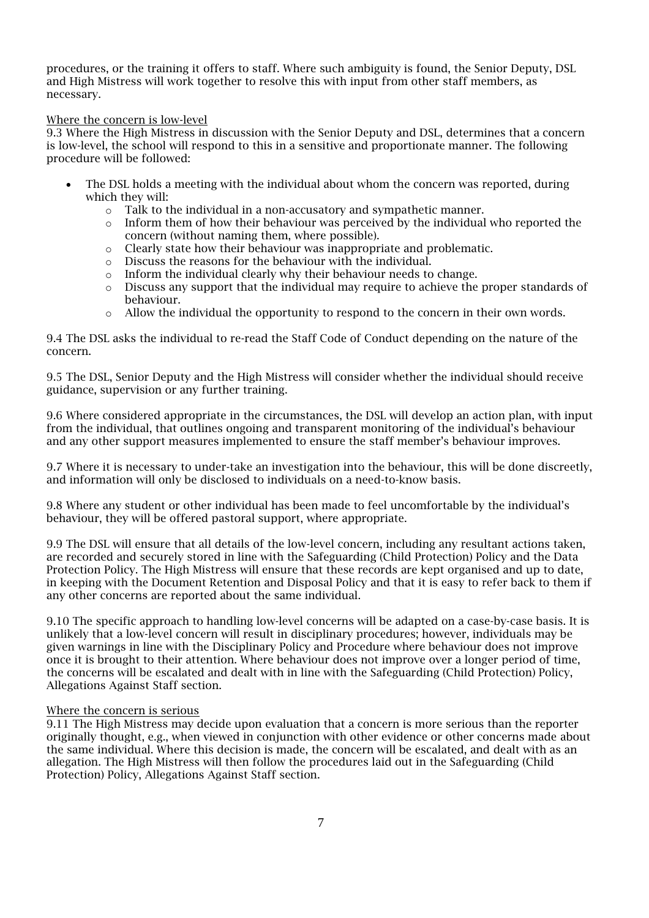procedures, or the training it offers to staff. Where such ambiguity is found, the Senior Deputy, DSL and High Mistress will work together to resolve this with input from other staff members, as necessary.

#### Where the concern is low-level

9.3 Where the High Mistress in discussion with the Senior Deputy and DSL, determines that a concern is low-level, the school will respond to this in a sensitive and proportionate manner. The following procedure will be followed:

- The DSL holds a meeting with the individual about whom the concern was reported, during which they will:
	- o Talk to the individual in a non-accusatory and sympathetic manner.
	- $\circ$  Inform them of how their behaviour was perceived by the individual who reported the concern (without naming them, where possible).
	- $\circ$  Clearly state how their behaviour was inappropriate and problematic.  $\circ$  Discuss the reasons for the behaviour with the individual.
	-
	- $\circ$  Discuss the reasons for the behaviour with the individual.  $\circ$  Inform the individual clearly why their behaviour needs to Inform the individual clearly why their behaviour needs to change.
	- Discuss any support that the individual may require to achieve the proper standards of behaviour.
	- o Allow the individual the opportunity to respond to the concern in their own words.

9.4 The DSL asks the individual to re-read the Staff Code of Conduct depending on the nature of the concern.

9.5 The DSL, Senior Deputy and the High Mistress will consider whether the individual should receive guidance, supervision or any further training.

9.6 Where considered appropriate in the circumstances, the DSL will develop an action plan, with input from the individual, that outlines ongoing and transparent monitoring of the individual's behaviour and any other support measures implemented to ensure the staff member's behaviour improves.

9.7 Where it is necessary to under-take an investigation into the behaviour, this will be done discreetly, and information will only be disclosed to individuals on a need-to-know basis.

9.8 Where any student or other individual has been made to feel uncomfortable by the individual's behaviour, they will be offered pastoral support, where appropriate.

9.9 The DSL will ensure that all details of the low-level concern, including any resultant actions taken, are recorded and securely stored in line with the Safeguarding (Child Protection) Policy and the Data Protection Policy. The High Mistress will ensure that these records are kept organised and up to date, in keeping with the Document Retention and Disposal Policy and that it is easy to refer back to them if any other concerns are reported about the same individual.

9.10 The specific approach to handling low-level concerns will be adapted on a case-by-case basis. It is unlikely that a low-level concern will result in disciplinary procedures; however, individuals may be given warnings in line with the Disciplinary Policy and Procedure where behaviour does not improve once it is brought to their attention. Where behaviour does not improve over a longer period of time, the concerns will be escalated and dealt with in line with the Safeguarding (Child Protection) Policy, Allegations Against Staff section.

### Where the concern is serious

9.11 The High Mistress may decide upon evaluation that a concern is more serious than the reporter originally thought, e.g., when viewed in conjunction with other evidence or other concerns made about the same individual. Where this decision is made, the concern will be escalated, and dealt with as an allegation. The High Mistress will then follow the procedures laid out in the Safeguarding (Child Protection) Policy, Allegations Against Staff section.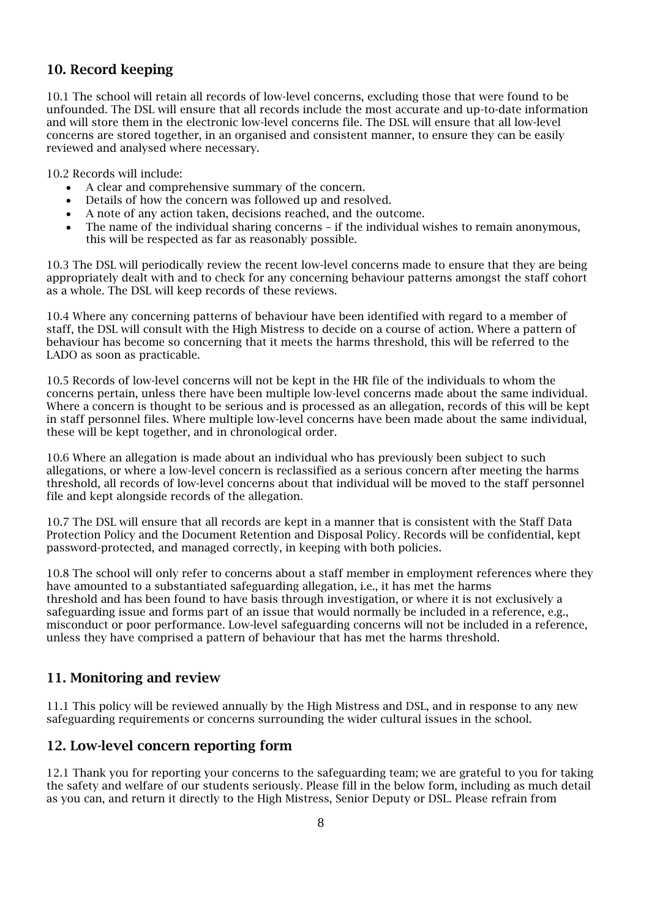# 10. Record keeping

10.1 The school will retain all records of low-level concerns, excluding those that were found to be unfounded. The DSL will ensure that all records include the most accurate and up-to-date information and will store them in the electronic low-level concerns file. The DSL will ensure that all low-level concerns are stored together, in an organised and consistent manner, to ensure they can be easily reviewed and analysed where necessary.

10.2 Records will include:

- A clear and comprehensive summary of the concern.
- Details of how the concern was followed up and resolved.
- A note of any action taken, decisions reached, and the outcome.
- The name of the individual sharing concerns if the individual wishes to remain anonymous, this will be respected as far as reasonably possible.

10.3 The DSL will periodically review the recent low-level concerns made to ensure that they are being appropriately dealt with and to check for any concerning behaviour patterns amongst the staff cohort as a whole. The DSL will keep records of these reviews.

10.4 Where any concerning patterns of behaviour have been identified with regard to a member of staff, the DSL will consult with the High Mistress to decide on a course of action. Where a pattern of behaviour has become so concerning that it meets the harms threshold, this will be referred to the LADO as soon as practicable.

10.5 Records of low-level concerns will not be kept in the HR file of the individuals to whom the concerns pertain, unless there have been multiple low-level concerns made about the same individual. Where a concern is thought to be serious and is processed as an allegation, records of this will be kept in staff personnel files. Where multiple low-level concerns have been made about the same individual, these will be kept together, and in chronological order.

10.6 Where an allegation is made about an individual who has previously been subject to such allegations, or where a low-level concern is reclassified as a serious concern after meeting the harms threshold, all records of low-level concerns about that individual will be moved to the staff personnel file and kept alongside records of the allegation.

10.7 The DSL will ensure that all records are kept in a manner that is consistent with the Staff Data Protection Policy and the Document Retention and Disposal Policy. Records will be confidential, kept password-protected, and managed correctly, in keeping with both policies.

10.8 The school will only refer to concerns about a staff member in employment references where they have amounted to a substantiated safeguarding allegation, i.e., it has met the harms threshold and has been found to have basis through investigation, or where it is not exclusively a safeguarding issue and forms part of an issue that would normally be included in a reference, e.g., misconduct or poor performance. Low-level safeguarding concerns will not be included in a reference, unless they have comprised a pattern of behaviour that has met the harms threshold.

# 11. Monitoring and review

11.1 This policy will be reviewed annually by the High Mistress and DSL, and in response to any new safeguarding requirements or concerns surrounding the wider cultural issues in the school.

# 12. Low-level concern reporting form

12.1 Thank you for reporting your concerns to the safeguarding team; we are grateful to you for taking the safety and welfare of our students seriously. Please fill in the below form, including as much detail as you can, and return it directly to the High Mistress, Senior Deputy or DSL. Please refrain from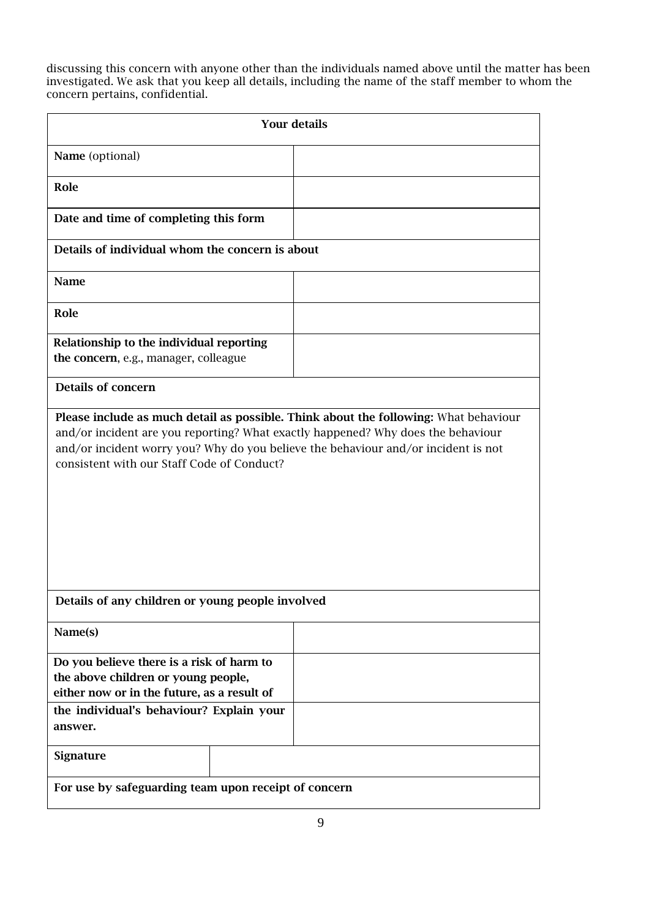discussing this concern with anyone other than the individuals named above until the matter has been investigated. We ask that you keep all details, including the name of the staff member to whom the concern pertains, confidential.

| <b>Your details</b>                                                                                                                                                                                                  |  |  |  |  |
|----------------------------------------------------------------------------------------------------------------------------------------------------------------------------------------------------------------------|--|--|--|--|
| Name (optional)                                                                                                                                                                                                      |  |  |  |  |
| Role                                                                                                                                                                                                                 |  |  |  |  |
| Date and time of completing this form                                                                                                                                                                                |  |  |  |  |
| Details of individual whom the concern is about                                                                                                                                                                      |  |  |  |  |
| <b>Name</b>                                                                                                                                                                                                          |  |  |  |  |
| Role                                                                                                                                                                                                                 |  |  |  |  |
| Relationship to the individual reporting<br>the concern, e.g., manager, colleague                                                                                                                                    |  |  |  |  |
| <b>Details of concern</b>                                                                                                                                                                                            |  |  |  |  |
| and/or incident are you reporting? What exactly happened? Why does the behaviour<br>and/or incident worry you? Why do you believe the behaviour and/or incident is not<br>consistent with our Staff Code of Conduct? |  |  |  |  |
| Details of any children or young people involved                                                                                                                                                                     |  |  |  |  |
| Name(s)                                                                                                                                                                                                              |  |  |  |  |
| Do you believe there is a risk of harm to<br>the above children or young people,<br>either now or in the future, as a result of                                                                                      |  |  |  |  |
| the individual's behaviour? Explain your<br>answer.                                                                                                                                                                  |  |  |  |  |
| <b>Signature</b>                                                                                                                                                                                                     |  |  |  |  |
| For use by safeguarding team upon receipt of concern                                                                                                                                                                 |  |  |  |  |